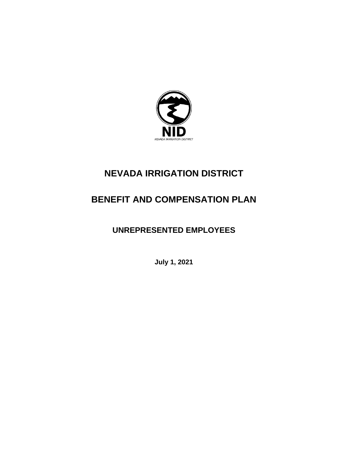

# **NEVADA IRRIGATION DISTRICT**

# **BENEFIT AND COMPENSATION PLAN**

# **UNREPRESENTED EMPLOYEES**

**July 1, 2021**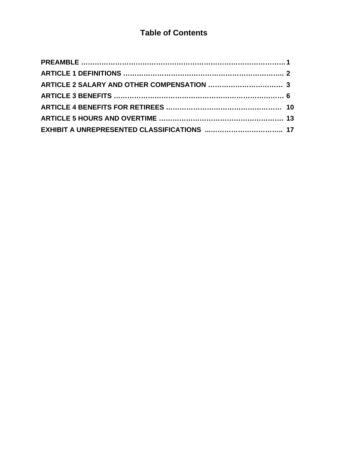# **Table of Contents**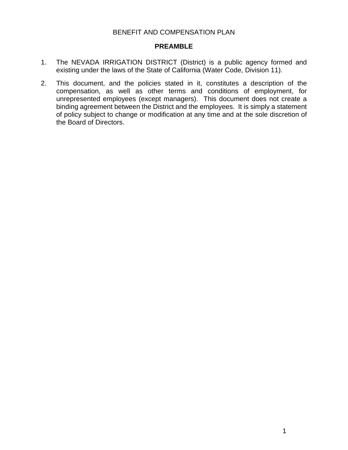#### BENEFIT AND COMPENSATION PLAN

#### **PREAMBLE**

- 1. The NEVADA IRRIGATION DISTRICT (District) is a public agency formed and existing under the laws of the State of California (Water Code, Division 11).
- 2. This document, and the policies stated in it, constitutes a description of the compensation, as well as other terms and conditions of employment, for unrepresented employees (except managers). This document does not create a binding agreement between the District and the employees. It is simply a statement of policy subject to change or modification at any time and at the sole discretion of the Board of Directors.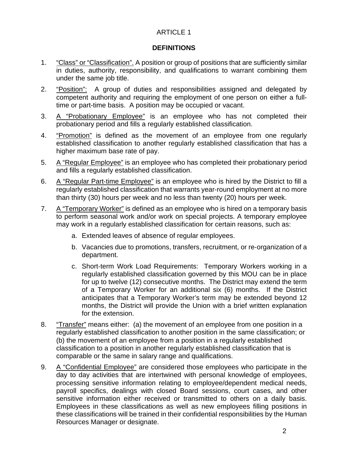## **DEFINITIONS**

- 1. "Class" or "Classification". A position or group of positions that are sufficiently similar in duties, authority, responsibility, and qualifications to warrant combining them under the same job title.
- 2. "Position": A group of duties and responsibilities assigned and delegated by competent authority and requiring the employment of one person on either a fulltime or part-time basis. A position may be occupied or vacant.
- 3. A "Probationary Employee" is an employee who has not completed their probationary period and fills a regularly established classification.
- 4. "Promotion" is defined as the movement of an employee from one regularly established classification to another regularly established classification that has a higher maximum base rate of pay.
- 5. A "Regular Employee" is an employee who has completed their probationary period and fills a regularly established classification.
- 6. A "Regular Part‐time Employee" is an employee who is hired by the District to fill a regularly established classification that warrants year‐round employment at no more than thirty (30) hours per week and no less than twenty (20) hours per week.
- 7. A "Temporary Worker" is defined as an employee who is hired on a temporary basis to perform seasonal work and/or work on special projects. A temporary employee may work in a regularly established classification for certain reasons, such as:
	- a. Extended leaves of absence of regular employees.
	- b. Vacancies due to promotions, transfers, recruitment, or re‐organization of a department.
	- c. Short‐term Work Load Requirements: Temporary Workers working in a regularly established classification governed by this MOU can be in place for up to twelve (12) consecutive months. The District may extend the term of a Temporary Worker for an additional six (6) months. If the District anticipates that a Temporary Worker's term may be extended beyond 12 months, the District will provide the Union with a brief written explanation for the extension.
- 8. "Transfer" means either: (a) the movement of an employee from one position in a regularly established classification to another position in the same classification; or (b) the movement of an employee from a position in a regularly established classification to a position in another regularly established classification that is comparable or the same in salary range and qualifications.
- 9. A "Confidential Employee" are considered those employees who participate in the day to day activities that are intertwined with personal knowledge of employees, processing sensitive information relating to employee/dependent medical needs, payroll specifics, dealings with closed Board sessions, court cases, and other sensitive information either received or transmitted to others on a daily basis. Employees in these classifications as well as new employees filling positions in these classifications will be trained in their confidential responsibilities by the Human Resources Manager or designate.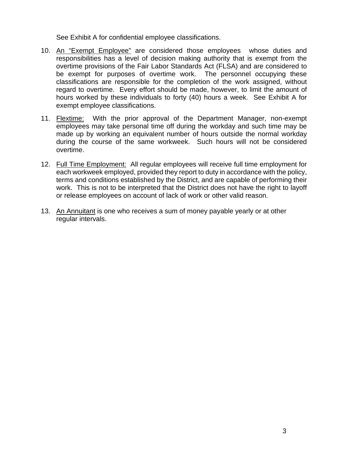See Exhibit A for confidential employee classifications.

- 10. An "Exempt Employee" are considered those employees whose duties and responsibilities has a level of decision making authority that is [exempt](http://humanresources.about.com/od/glossaryf/a/flsa.htm) from the overtime provisions of the Fair Labor Standards Act (FLSA) and are considered to be exempt for purposes of overtime work. The personnel occupying these classifications are responsible for the completion of the work assigned, without regard to overtime. Every effort should be made, however, to limit the amount of hours worked by these individuals to forty (40) hours a week. See Exhibit A for exempt employee classifications.
- 11. Flextime: With the prior approval of the Department Manager, non-exempt employees may take personal time off during the workday and such time may be made up by working an equivalent number of hours outside the normal workday during the course of the same workweek. Such hours will not be considered overtime.
- 12. Full Time Employment: All regular employees will receive full time employment for each workweek employed, provided they report to duty in accordance with the policy, terms and conditions established by the District, and are capable of performing their work. This is not to be interpreted that the District does not have the right to layoff or release employees on account of lack of work or other valid reason.
- 13. An Annuitant is one who receives a sum of money payable yearly or at other regular intervals.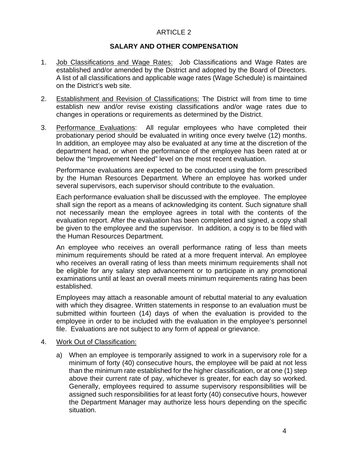#### **SALARY AND OTHER COMPENSATION**

- 1. Job Classifications and Wage Rates: Job Classifications and Wage Rates are established and/or amended by the District and adopted by the Board of Directors. A list of all classifications and applicable wage rates (Wage Schedule) is maintained on the District's web site.
- 2. Establishment and Revision of Classifications: The District will from time to time establish new and/or revise existing classifications and/or wage rates due to changes in operations or requirements as determined by the District.
- 3. Performance Evaluations: All regular employees who have completed their probationary period should be evaluated in writing once every twelve (12) months. In addition, an employee may also be evaluated at any time at the discretion of the department head, or when the performance of the employee has been rated at or below the "Improvement Needed" level on the most recent evaluation.

Performance evaluations are expected to be conducted using the form prescribed by the Human Resources Department. Where an employee has worked under several supervisors, each supervisor should contribute to the evaluation.

Each performance evaluation shall be discussed with the employee. The employee shall sign the report as a means of acknowledging its content. Such signature shall not necessarily mean the employee agrees in total with the contents of the evaluation report. After the evaluation has been completed and signed, a copy shall be given to the employee and the supervisor. In addition, a copy is to be filed with the Human Resources Department.

An employee who receives an overall performance rating of less than meets minimum requirements should be rated at a more frequent interval. An employee who receives an overall rating of less than meets minimum requirements shall not be eligible for any salary step advancement or to participate in any promotional examinations until at least an overall meets minimum requirements rating has been established.

Employees may attach a reasonable amount of rebuttal material to any evaluation with which they disagree. Written statements in response to an evaluation must be submitted within fourteen (14) days of when the evaluation is provided to the employee in order to be included with the evaluation in the employee's personnel file. Evaluations are not subject to any form of appeal or grievance.

#### 4. Work Out of Classification:

a) When an employee is temporarily assigned to work in a supervisory role for a minimum of forty (40) consecutive hours, the employee will be paid at not less than the minimum rate established for the higher classification, or at one (1) step above their current rate of pay, whichever is greater, for each day so worked. Generally, employees required to assume supervisory responsibilities will be assigned such responsibilities for at least forty (40) consecutive hours, however the Department Manager may authorize less hours depending on the specific situation.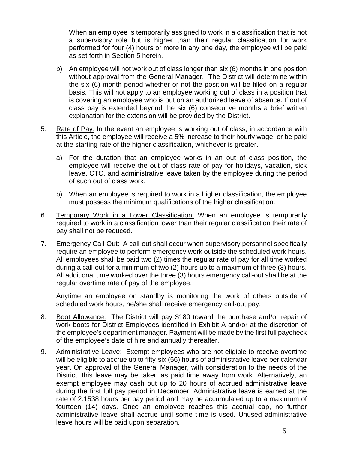When an employee is temporarily assigned to work in a classification that is not a supervisory role but is higher than their regular classification for work performed for four (4) hours or more in any one day, the employee will be paid as set forth in Section 5 herein.

- b) An employee will not work out of class longer than six (6) months in one position without approval from the General Manager. The District will determine within the six (6) month period whether or not the position will be filled on a regular basis. This will not apply to an employee working out of class in a position that is covering an employee who is out on an authorized leave of absence. If out of class pay is extended beyond the six (6) consecutive months a brief written explanation for the extension will be provided by the District.
- 5. Rate of Pay: In the event an employee is working out of class, in accordance with this Article, the employee will receive a 5% increase to their hourly wage, or be paid at the starting rate of the higher classification, whichever is greater.
	- a) For the duration that an employee works in an out of class position, the employee will receive the out of class rate of pay for holidays, vacation, sick leave, CTO, and administrative leave taken by the employee during the period of such out of class work.
	- b) When an employee is required to work in a higher classification, the employee must possess the minimum qualifications of the higher classification.
- 6. Temporary Work in a Lower Classification: When an employee is temporarily required to work in a classification lower than their regular classification their rate of pay shall not be reduced.
- 7. Emergency Call-Out: A call-out shall occur when supervisory personnel specifically require an employee to perform emergency work outside the scheduled work hours. All employees shall be paid two (2) times the regular rate of pay for all time worked during a call-out for a minimum of two (2) hours up to a maximum of three (3) hours. All additional time worked over the three (3) hours emergency call-out shall be at the regular overtime rate of pay of the employee.

Anytime an employee on standby is monitoring the work of others outside of scheduled work hours, he/she shall receive emergency call-out pay.

- 8. Boot Allowance: The District will pay \$180 toward the purchase and/or repair of work boots for District Employees identified in Exhibit A and/or at the discretion of the employee's department manager. Payment will be made by the first full paycheck of the employee's date of hire and annually thereafter.
- 9. Administrative Leave: Exempt employees who are not eligible to receive overtime will be eligible to accrue up to fifty-six (56) hours of administrative leave per calendar year. On approval of the General Manager, with consideration to the needs of the District, this leave may be taken as paid time away from work. Alternatively, an exempt employee may cash out up to 20 hours of accrued administrative leave during the first full pay period in December. Administrative leave is earned at the rate of 2.1538 hours per pay period and may be accumulated up to a maximum of fourteen (14) days. Once an employee reaches this accrual cap, no further administrative leave shall accrue until some time is used. Unused administrative leave hours will be paid upon separation.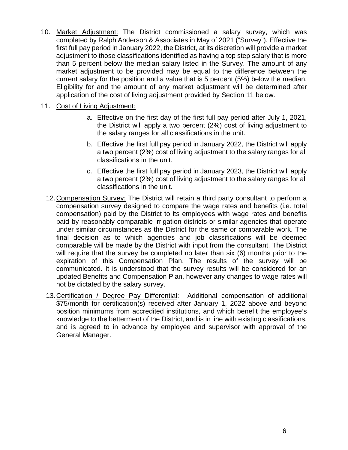- 10. Market Adjustment: The District commissioned a salary survey, which was completed by Ralph Anderson & Associates in May of 2021 ("Survey"). Effective the first full pay period in January 2022, the District, at its discretion will provide a market adjustment to those classifications identified as having a top step salary that is more than 5 percent below the median salary listed in the Survey. The amount of any market adjustment to be provided may be equal to the difference between the current salary for the position and a value that is 5 percent (5%) below the median. Eligibility for and the amount of any market adjustment will be determined after application of the cost of living adjustment provided by Section 11 below.
- 11. Cost of Living Adjustment:
	- a. Effective on the first day of the first full pay period after July 1, 2021, the District will apply a two percent (2%) cost of living adjustment to the salary ranges for all classifications in the unit.
	- b. Effective the first full pay period in January 2022, the District will apply a two percent (2%) cost of living adjustment to the salary ranges for all classifications in the unit.
	- c. Effective the first full pay period in January 2023, the District will apply a two percent (2%) cost of living adjustment to the salary ranges for all classifications in the unit.
	- 12.Compensation Survey: The District will retain a third party consultant to perform a compensation survey designed to compare the wage rates and benefits (i.e. total compensation) paid by the District to its employees with wage rates and benefits paid by reasonably comparable irrigation districts or similar agencies that operate under similar circumstances as the District for the same or comparable work. The final decision as to which agencies and job classifications will be deemed comparable will be made by the District with input from the consultant. The District will require that the survey be completed no later than six (6) months prior to the expiration of this Compensation Plan. The results of the survey will be communicated. It is understood that the survey results will be considered for an updated Benefits and Compensation Plan, however any changes to wage rates will not be dictated by the salary survey.
	- 13.Certification / Degree Pay Differential: Additional compensation of additional \$75/month for certification(s) received after January 1, 2022 above and beyond position minimums from accredited institutions, and which benefit the employee's knowledge to the betterment of the District, and is in line with existing classifications, and is agreed to in advance by employee and supervisor with approval of the General Manager.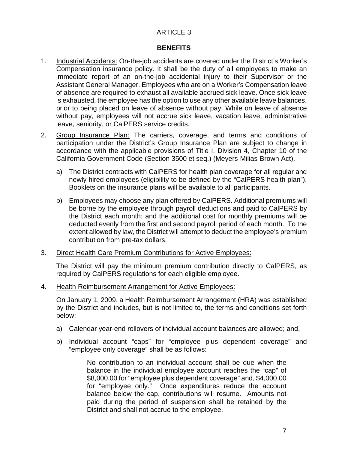#### **BENEFITS**

- 1. Industrial Accidents: On-the-job accidents are covered under the District's Worker's Compensation insurance policy. It shall be the duty of all employees to make an immediate report of an on-the-job accidental injury to their Supervisor or the Assistant General Manager. Employees who are on a Worker's Compensation leave of absence are required to exhaust all available accrued sick leave. Once sick leave is exhausted, the employee has the option to use any other available leave balances, prior to being placed on leave of absence without pay. While on leave of absence without pay, employees will not accrue sick leave, vacation leave, administrative leave, seniority, or CalPERS service credits.
- 2. Group Insurance Plan: The carriers, coverage, and terms and conditions of participation under the District's Group Insurance Plan are subject to change in accordance with the applicable provisions of Title I, Division 4, Chapter 10 of the California Government Code (Section 3500 et seq.) (Meyers-Milias-Brown Act).
	- a) The District contracts with CalPERS for health plan coverage for all regular and newly hired employees (eligibility to be defined by the "CalPERS health plan"). Booklets on the insurance plans will be available to all participants.
	- b) Employees may choose any plan offered by CalPERS. Additional premiums will be borne by the employee through payroll deductions and paid to CalPERS by the District each month; and the additional cost for monthly premiums will be deducted evenly from the first and second payroll period of each month. To the extent allowed by law, the District will attempt to deduct the employee's premium contribution from pre-tax dollars.
- 3. Direct Health Care Premium Contributions for Active Employees:

The District will pay the minimum premium contribution directly to CalPERS, as required by CalPERS regulations for each eligible employee.

4. Health Reimbursement Arrangement for Active Employees:

On January 1, 2009, a Health Reimbursement Arrangement (HRA) was established by the District and includes, but is not limited to, the terms and conditions set forth below:

- a) Calendar year-end rollovers of individual account balances are allowed; and,
- b) Individual account "caps" for "employee plus dependent coverage" and "employee only coverage" shall be as follows:

No contribution to an individual account shall be due when the balance in the individual employee account reaches the "cap" of \$8,000.00 for "employee plus dependent coverage" and, \$4,000.00 for "employee only." Once expenditures reduce the account balance below the cap, contributions will resume. Amounts not paid during the period of suspension shall be retained by the District and shall not accrue to the employee.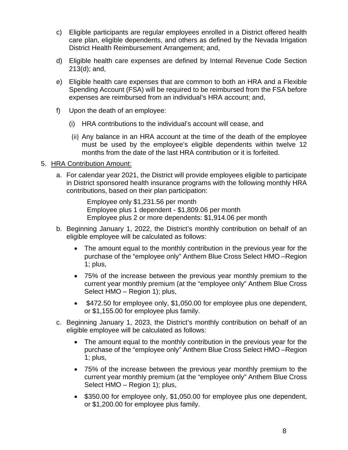- c) Eligible participants are regular employees enrolled in a District offered health care plan, eligible dependents, and others as defined by the Nevada Irrigation District Health Reimbursement Arrangement; and,
- d) Eligible health care expenses are defined by Internal Revenue Code Section 213(d); and,
- e) Eligible health care expenses that are common to both an HRA and a Flexible Spending Account (FSA) will be required to be reimbursed from the FSA before expenses are reimbursed from an individual's HRA account; and,
- f) Upon the death of an employee:
	- (i) HRA contributions to the individual's account will cease, and
	- (ii) Any balance in an HRA account at the time of the death of the employee must be used by the employee's eligible dependents within twelve 12 months from the date of the last HRA contribution or it is forfeited.

## 5. HRA Contribution Amount:

a. For calendar year 2021, the District will provide employees eligible to participate in District sponsored health insurance programs with the following monthly HRA contributions, based on their plan participation:

> Employee only \$1,231.56 per month Employee plus 1 dependent - \$1,809.06 per month Employee plus 2 or more dependents: \$1,914.06 per month

- b. Beginning January 1, 2022, the District's monthly contribution on behalf of an eligible employee will be calculated as follows:
	- The amount equal to the monthly contribution in the previous year for the purchase of the "employee only" Anthem Blue Cross Select HMO –Region 1; plus,
	- 75% of the increase between the previous year monthly premium to the current year monthly premium (at the "employee only" Anthem Blue Cross Select HMO – Region 1); plus,
	- \$472.50 for employee only, \$1,050.00 for employee plus one dependent, or \$1,155.00 for employee plus family.
- c. Beginning January 1, 2023, the District's monthly contribution on behalf of an eligible employee will be calculated as follows:
	- The amount equal to the monthly contribution in the previous year for the purchase of the "employee only" Anthem Blue Cross Select HMO –Region 1; plus,
	- 75% of the increase between the previous year monthly premium to the current year monthly premium (at the "employee only" Anthem Blue Cross Select HMO – Region 1); plus,
	- \$350.00 for employee only, \$1,050.00 for employee plus one dependent, or \$1,200.00 for employee plus family.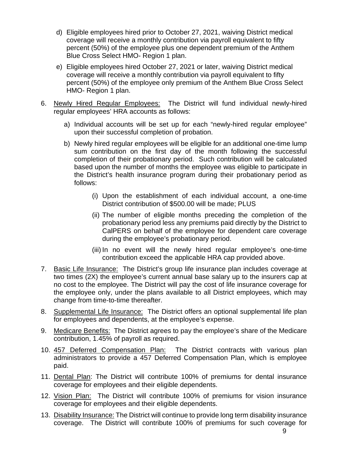- d) Eligible employees hired prior to October 27, 2021, waiving District medical coverage will receive a monthly contribution via payroll equivalent to fifty percent (50%) of the employee plus one dependent premium of the Anthem Blue Cross Select HMO- Region 1 plan.
- e) Eligible employees hired October 27, 2021 or later, waiving District medical coverage will receive a monthly contribution via payroll equivalent to fifty percent (50%) of the employee only premium of the Anthem Blue Cross Select HMO- Region 1 plan.
- 6. Newly Hired Regular Employees: The District will fund individual newly-hired regular employees' HRA accounts as follows:
	- a) Individual accounts will be set up for each "newly-hired regular employee" upon their successful completion of probation.
	- b) Newly hired regular employees will be eligible for an additional one-time lump sum contribution on the first day of the month following the successful completion of their probationary period. Such contribution will be calculated based upon the number of months the employee was eligible to participate in the District's health insurance program during their probationary period as follows:
		- (i) Upon the establishment of each individual account, a one‐time District contribution of \$500.00 will be made; PLUS
		- (ii) The number of eligible months preceding the completion of the probationary period less any premiums paid directly by the District to CalPERS on behalf of the employee for dependent care coverage during the employee's probationary period.
		- (iii) In no event will the newly hired regular employee's one-time contribution exceed the applicable HRA cap provided above.
- 7. Basic Life Insurance: The District's group life insurance plan includes coverage at two times (2X) the employee's current annual base salary up to the insurers cap at no cost to the employee. The District will pay the cost of life insurance coverage for the employee only, under the plans available to all District employees, which may change from time‐to‐time thereafter.
- 8. Supplemental Life Insurance: The District offers an optional supplemental life plan for employees and dependents, at the employee's expense.
- 9. Medicare Benefits: The District agrees to pay the employee's share of the Medicare contribution, 1.45% of payroll as required.
- 10. 457 Deferred Compensation Plan: The District contracts with various plan administrators to provide a 457 Deferred Compensation Plan, which is employee paid.
- 11. Dental Plan: The District will contribute 100% of premiums for dental insurance coverage for employees and their eligible dependents.
- 12. Vision Plan: The District will contribute 100% of premiums for vision insurance coverage for employees and their eligible dependents.
- 13. Disability Insurance: The District will continue to provide long term disability insurance coverage. The District will contribute 100% of premiums for such coverage for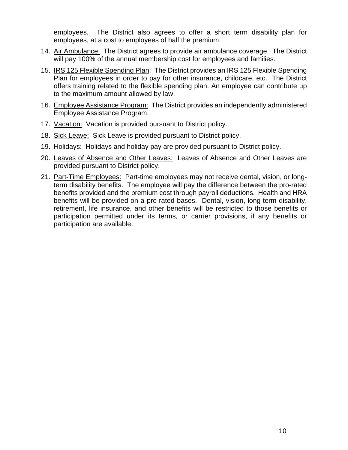employees. The District also agrees to offer a short term disability plan for employees, at a cost to employees of half the premium.

- 14. Air Ambulance: The District agrees to provide air ambulance coverage. The District will pay 100% of the annual membership cost for employees and families.
- 15. IRS 125 Flexible Spending Plan: The District provides an IRS 125 Flexible Spending Plan for employees in order to pay for other insurance, childcare, etc. The District offers training related to the flexible spending plan. An employee can contribute up to the maximum amount allowed by law.
- 16. Employee Assistance Program: The District provides an independently administered Employee Assistance Program.
- 17. Vacation: Vacation is provided pursuant to District policy.
- 18. Sick Leave: Sick Leave is provided pursuant to District policy.
- 19. Holidays: Holidays and holiday pay are provided pursuant to District policy.
- 20. Leaves of Absence and Other Leaves: Leaves of Absence and Other Leaves are provided pursuant to District policy.
- 21. Part-Time Employees: Part-time employees may not receive dental, vision, or longterm disability benefits. The employee will pay the difference between the pro-rated benefits provided and the premium cost through payroll deductions. Health and HRA benefits will be provided on a pro-rated bases. Dental, vision, long-term disability, retirement, life insurance, and other benefits will be restricted to those benefits or participation permitted under its terms, or carrier provisions, if any benefits or participation are available.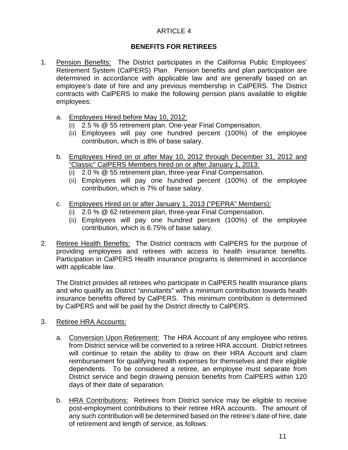# **BENEFITS FOR RETIREES**

- 1. Pension Benefits: The District participates in the California Public Emplovees' Retirement System (CalPERS) Plan. Pension benefits and plan participation are determined in accordance with applicable law and are generally based on an employee's date of hire and any previous membership in CalPERS. The District contracts with CalPERS to make the following pension plans available to eligible employees:
	- a. Employees Hired before May 10, 2012:
		- (i) 2.5 % @ 55 retirement plan. One‐year Final Compensation.
		- (ii) Employees will pay one hundred percent (100%) of the employee contribution, which is 8% of base salary.
	- b. Employees Hired on or after May 10, 2012 through December 31, 2012 and "Classic" CalPERS Members hired on or after January 1, 2013:
		- (i) 2.0 % @ 55 retirement plan, three‐year Final Compensation.
		- (ii) Employees will pay one hundred percent (100%) of the employee contribution, which is 7% of base salary.
	- c. Employees Hired on or after January 1, 2013 ("PEPRA" Members):
		- (i) 2.0 % @ 62 retirement plan, three‐year Final Compensation.
		- (ii) Employees will pay one hundred percent (100%) of the employee contribution, which is 6.75% of base salary.
- 2. Retiree Health Benefits: The District contracts with CalPERS for the purpose of providing employees and retirees with access to health insurance benefits. Participation in CalPERS Health insurance programs is determined in accordance with applicable law.

The District provides all retirees who participate in CalPERS health insurance plans and who qualify as District "annuitants" with a minimum contribution towards health insurance benefits offered by CalPERS. This minimum contribution is determined by CalPERS and will be paid by the District directly to CalPERS.

- 3. Retiree HRA Accounts:
	- a. Conversion Upon Retirement: The HRA Account of any employee who retires from District service will be converted to a retiree HRA account. District retirees will continue to retain the ability to draw on their HRA Account and claim reimbursement for qualifying health expenses for themselves and their eligible dependents. To be considered a retiree, an employee must separate from District service and begin drawing pension benefits from CalPERS within 120 days of their date of separation.
	- b. HRA Contributions: Retirees from District service may be eligible to receive post-employment contributions to their retiree HRA accounts. The amount of any such contribution will be determined based on the retiree's date of hire, date of retirement and length of service, as follows: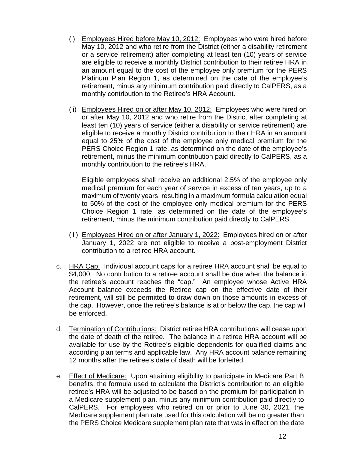- (i) Employees Hired before May 10, 2012: Employees who were hired before May 10, 2012 and who retire from the District (either a disability retirement or a service retirement) after completing at least ten (10) years of service are eligible to receive a monthly District contribution to their retiree HRA in an amount equal to the cost of the employee only premium for the PERS Platinum Plan Region 1, as determined on the date of the employee's retirement, minus any minimum contribution paid directly to CalPERS, as a monthly contribution to the Retiree's HRA Account.
- (ii) Employees Hired on or after May 10, 2012: Employees who were hired on or after May 10, 2012 and who retire from the District after completing at least ten (10) years of service (either a disability or service retirement) are eligible to receive a monthly District contribution to their HRA in an amount equal to 25% of the cost of the employee only medical premium for the PERS Choice Region 1 rate, as determined on the date of the employee's retirement, minus the minimum contribution paid directly to CalPERS, as a monthly contribution to the retiree's HRA.

Eligible employees shall receive an additional 2.5% of the employee only medical premium for each year of service in excess of ten years, up to a maximum of twenty years, resulting in a maximum formula calculation equal to 50% of the cost of the employee only medical premium for the PERS Choice Region 1 rate, as determined on the date of the employee's retirement, minus the minimum contribution paid directly to CalPERS.

- (iii) Employees Hired on or after January 1, 2022: Employees hired on or after January 1, 2022 are not eligible to receive a post-employment District contribution to a retiree HRA account.
- c. HRA Cap: Individual account caps for a retiree HRA account shall be equal to \$4,000. No contribution to a retiree account shall be due when the balance in the retiree's account reaches the "cap." An employee whose Active HRA Account balance exceeds the Retiree cap on the effective date of their retirement, will still be permitted to draw down on those amounts in excess of the cap. However, once the retiree's balance is at or below the cap, the cap will be enforced.
- d. Termination of Contributions: District retiree HRA contributions will cease upon the date of death of the retiree. The balance in a retiree HRA account will be available for use by the Retiree's eligible dependents for qualified claims and according plan terms and applicable law. Any HRA account balance remaining 12 months after the retiree's date of death will be forfeited.
- e. Effect of Medicare: Upon attaining eligibility to participate in Medicare Part B benefits, the formula used to calculate the District's contribution to an eligible retiree's HRA will be adjusted to be based on the premium for participation in a Medicare supplement plan, minus any minimum contribution paid directly to CalPERS. For employees who retired on or prior to June 30, 2021, the Medicare supplement plan rate used for this calculation will be no greater than the PERS Choice Medicare supplement plan rate that was in effect on the date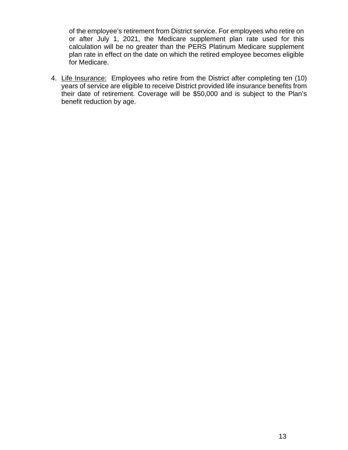of the employee's retirement from District service. For employees who retire on or after July 1, 2021, the Medicare supplement plan rate used for this calculation will be no greater than the PERS Platinum Medicare supplement plan rate in effect on the date on which the retired employee becomes eligible for Medicare.

4. Life Insurance: Employees who retire from the District after completing ten (10) years of service are eligible to receive District provided life insurance benefits from their date of retirement. Coverage will be \$50,000 and is subject to the Plan's benefit reduction by age.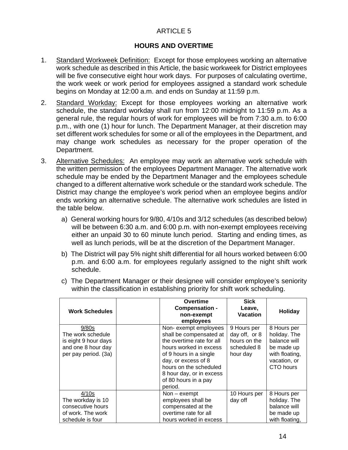## **HOURS AND OVERTIME**

- 1. Standard Workweek Definition: Except for those employees working an alternative work schedule as described in this Article, the basic workweek for District employees will be five consecutive eight hour work days. For purposes of calculating overtime, the work week or work period for employees assigned a standard work schedule begins on Monday at 12:00 a.m. and ends on Sunday at 11:59 p.m.
- 2. Standard Workday: Except for those employees working an alternative work schedule, the standard workday shall run from 12:00 midnight to 11:59 p.m. As a general rule, the regular hours of work for employees will be from 7:30 a.m. to 6:00 p.m., with one (1) hour for lunch. The Department Manager, at their discretion may set different work schedules for some or all of the employees in the Department, and may change work schedules as necessary for the proper operation of the Department.
- 3. Alternative Schedules: An employee may work an alternative work schedule with the written permission of the employees Department Manager. The alternative work schedule may be ended by the Department Manager and the employees schedule changed to a different alternative work schedule or the standard work schedule. The District may change the employee's work period when an employee begins and/or ends working an alternative schedule. The alternative work schedules are listed in the table below.
	- a) General working hours for 9/80, 4/10s and 3/12 schedules (as described below) will be between 6:30 a.m. and 6:00 p.m. with non-exempt employees receiving either an unpaid 30 to 60 minute lunch period. Starting and ending times, as well as lunch periods, will be at the discretion of the Department Manager.
	- b) The District will pay 5% night shift differential for all hours worked between 6:00 p.m. and 6:00 a.m. for employees regularly assigned to the night shift work schedule.

| <b>Work Schedules</b>                                                                            | <b>Overtime</b><br>Compensation -<br>non-exempt<br>employees                                                                                                                                                                                     | <b>Sick</b><br>Leave,<br>Vacation                                       | Holiday                                                                                                  |
|--------------------------------------------------------------------------------------------------|--------------------------------------------------------------------------------------------------------------------------------------------------------------------------------------------------------------------------------------------------|-------------------------------------------------------------------------|----------------------------------------------------------------------------------------------------------|
| 9/80s<br>The work schedule<br>is eight 9 hour days<br>and one 8 hour day<br>per pay period. (3a) | Non-exempt employees<br>shall be compensated at<br>the overtime rate for all<br>hours worked in excess<br>of 9 hours in a single<br>day, or excess of 8<br>hours on the scheduled<br>8 hour day, or in excess<br>of 80 hours in a pay<br>period. | 9 Hours per<br>day off, or 8<br>hours on the<br>scheduled 8<br>hour day | 8 Hours per<br>holiday. The<br>balance will<br>be made up<br>with floating,<br>vacation, or<br>CTO hours |
| 4/10s<br>The workday is 10<br>consecutive hours<br>of work. The work<br>schedule is four         | $Non-exempt$<br>employees shall be<br>compensated at the<br>overtime rate for all<br>hours worked in excess                                                                                                                                      | 10 Hours per<br>day off                                                 | 8 Hours per<br>holiday. The<br>balance will<br>be made up<br>with floating,                              |

c) The Department Manager or their designee will consider employee's seniority within the classification in establishing priority for shift work scheduling.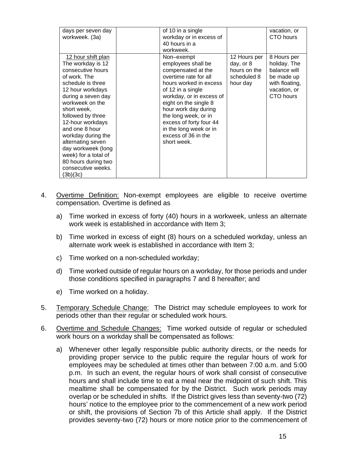| days per seven day<br>workweek. (3a)                                                                                                                                                                                                                                                                                                                                                       | of 10 in a single<br>workday or in excess of<br>40 hours in a<br>workweek.                                                                                                                                                                                                                                                     |                                                                      | vacation, or<br>CTO hours                                                                                |
|--------------------------------------------------------------------------------------------------------------------------------------------------------------------------------------------------------------------------------------------------------------------------------------------------------------------------------------------------------------------------------------------|--------------------------------------------------------------------------------------------------------------------------------------------------------------------------------------------------------------------------------------------------------------------------------------------------------------------------------|----------------------------------------------------------------------|----------------------------------------------------------------------------------------------------------|
| 12 hour shift plan<br>The workday is 12<br>consecutive hours<br>of work. The<br>schedule is three<br>12 hour workdays<br>during a seven day<br>workweek on the<br>short week.<br>followed by three<br>12-hour workdays<br>and one 8 hour<br>workday during the<br>alternating seven<br>day workweek (long<br>week) for a total of<br>80 hours during two<br>consecutive weeks.<br>(3b)(3c) | Non-exempt<br>employees shall be<br>compensated at the<br>overtime rate for all<br>hours worked in excess<br>of 12 in a single<br>workday, or in excess of<br>eight on the single 8<br>hour work day during<br>the long week, or in<br>excess of forty four 44<br>in the long week or in<br>excess of 36 in the<br>short week. | 12 Hours per<br>day, or 8<br>hours on the<br>scheduled 8<br>hour day | 8 Hours per<br>holiday. The<br>balance will<br>be made up<br>with floating,<br>vacation, or<br>CTO hours |

- 4. Overtime Definition: Non-exempt employees are eligible to receive overtime compensation. Overtime is defined as
	- a) Time worked in excess of forty (40) hours in a workweek, unless an alternate work week is established in accordance with Item 3;
	- b) Time worked in excess of eight (8) hours on a scheduled workday, unless an alternate work week is established in accordance with Item 3;
	- c) Time worked on a non-scheduled workday;
	- d) Time worked outside of regular hours on a workday, for those periods and under those conditions specified in paragraphs 7 and 8 hereafter; and
	- e) Time worked on a holiday.
- 5. Temporary Schedule Change: The District may schedule employees to work for periods other than their regular or scheduled work hours.
- 6. Overtime and Schedule Changes: Time worked outside of regular or scheduled work hours on a workday shall be compensated as follows:
	- a) Whenever other legally responsible public authority directs, or the needs for providing proper service to the public require the regular hours of work for employees may be scheduled at times other than between 7:00 a.m. and 5:00 p.m. In such an event, the regular hours of work shall consist of consecutive hours and shall include time to eat a meal near the midpoint of such shift. This mealtime shall be compensated for by the District. Such work periods may overlap or be scheduled in shifts. If the District gives less than seventy-two (72) hours' notice to the employee prior to the commencement of a new work period or shift, the provisions of Section 7b of this Article shall apply. If the District provides seventy-two (72) hours or more notice prior to the commencement of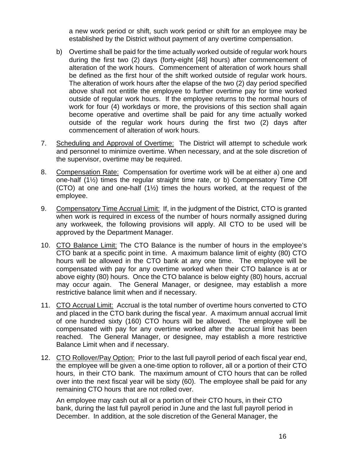a new work period or shift, such work period or shift for an employee may be established by the District without payment of any overtime compensation.

- b) Overtime shall be paid for the time actually worked outside of regular work hours during the first two (2) days (forty-eight [48] hours) after commencement of alteration of the work hours. Commencement of alteration of work hours shall be defined as the first hour of the shift worked outside of regular work hours. The alteration of work hours after the elapse of the two (2) day period specified above shall not entitle the employee to further overtime pay for time worked outside of regular work hours. If the employee returns to the normal hours of work for four (4) workdays or more, the provisions of this section shall again become operative and overtime shall be paid for any time actually worked outside of the regular work hours during the first two (2) days after commencement of alteration of work hours.
- 7. Scheduling and Approval of Overtime: The District will attempt to schedule work and personnel to minimize overtime. When necessary, and at the sole discretion of the supervisor, overtime may be required.
- 8. Compensation Rate: Compensation for overtime work will be at either a) one and one-half (1½) times the regular straight time rate, or b) Compensatory Time Off (CTO) at one and one-half (1½) times the hours worked, at the request of the employee.
- 9. Compensatory Time Accrual Limit: If, in the judgment of the District, CTO is granted when work is required in excess of the number of hours normally assigned during any workweek, the following provisions will apply. All CTO to be used will be approved by the Department Manager.
- 10. CTO Balance Limit: The CTO Balance is the number of hours in the employee's CTO bank at a specific point in time. A maximum balance limit of eighty (80) CTO hours will be allowed in the CTO bank at any one time. The employee will be compensated with pay for any overtime worked when their CTO balance is at or above eighty (80) hours. Once the CTO balance is below eighty (80) hours, accrual may occur again. The General Manager, or designee, may establish a more restrictive balance limit when and if necessary.
- 11. CTO Accrual Limit: Accrual is the total number of overtime hours converted to CTO and placed in the CTO bank during the fiscal year. A maximum annual accrual limit of one hundred sixty (160) CTO hours will be allowed. The employee will be compensated with pay for any overtime worked after the accrual limit has been reached. The General Manager, or designee, may establish a more restrictive Balance Limit when and if necessary.
- 12. CTO Rollover/Pay Option: Prior to the last full payroll period of each fiscal year end, the employee will be given a one‐time option to rollover, all or a portion of their CTO hours, in their CTO bank. The maximum amount of CTO hours that can be rolled over into the next fiscal year will be sixty (60). The employee shall be paid for any remaining CTO hours that are not rolled over.

An employee may cash out all or a portion of their CTO hours, in their CTO bank, during the last full payroll period in June and the last full payroll period in December. In addition, at the sole discretion of the General Manager, the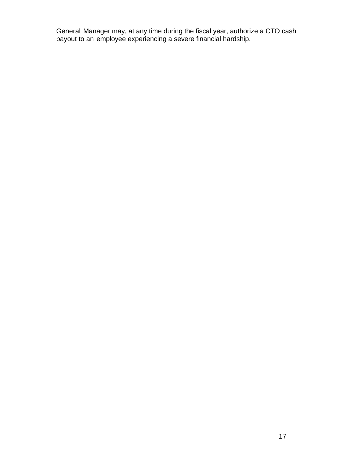General Manager may, at any time during the fiscal year, authorize a CTO cash payout to an employee experiencing a severe financial hardship.